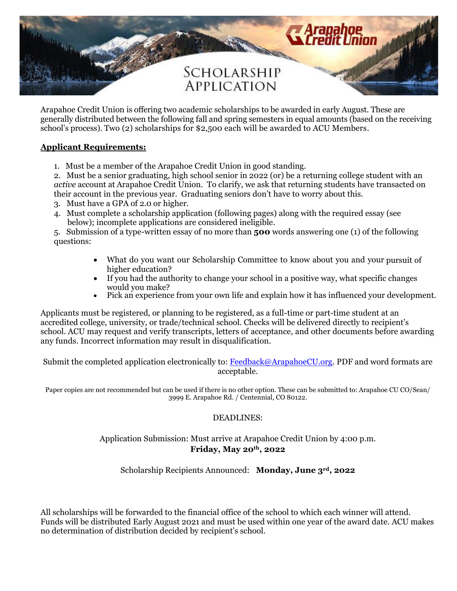

Arapahoe Credit Union is offering two academic scholarships to be awarded in early August. These are generally distributed between the following fall and spring semesters in equal amounts (based on the receiving school's process). Two (2) scholarships for \$2,500 each will be awarded to ACU Members.

# **Applicant Requirements:**

1. Must be a member of the Arapahoe Credit Union in good standing.

2. Must be a senior graduating, high school senior in 2022 (or) be a returning college student with an *active* account at Arapahoe Credit Union. To clarify, we ask that returning students have transacted on their account in the previous year. Graduating seniors don't have to worry about this.

- 3. Must have a GPA of 2.0 or higher.
- 4. Must complete a scholarship application (following pages) along with the required essay (see below); incomplete applications are considered ineligible.

5. Submission of a type-written essay of no more than **500** words answering one (1) of the following questions:

- What do you want our Scholarship Committee to know about you and your pursuit of higher education?
- If you had the authority to change your school in a positive way, what specific changes would you make?
- Pick an experience from your own life and explain how it has influenced your development.

Applicants must be registered, or planning to be registered, as a full-time or part-time student at an accredited college, university, or trade/technical school. Checks will be delivered directly to recipient's school. ACU may request and verify transcripts, letters of acceptance, and other documents before awarding any funds. Incorrect information may result in disqualification.

Submit the completed application electronically to: [Feedback@ArapahoeCU.org.](mailto:Feedback@ArapahoeCU.org) PDF and word formats are acceptable.

Paper copies are not recommended but can be used if there is no other option. These can be submitted to: Arapahoe CU CO/Sean/ 3999 E. Arapahoe Rd. / Centennial, CO 80122.

#### DEADLINES:

## Application Submission: Must arrive at Arapahoe Credit Union by 4:00 p.m. **Friday, May 20th, 2022**

Scholarship Recipients Announced: **Monday, June 3rd, 2022**

All scholarships will be forwarded to the financial office of the school to which each winner will attend. Funds will be distributed Early August 2021 and must be used within one year of the award date. ACU makes no determination of distribution decided by recipient's school.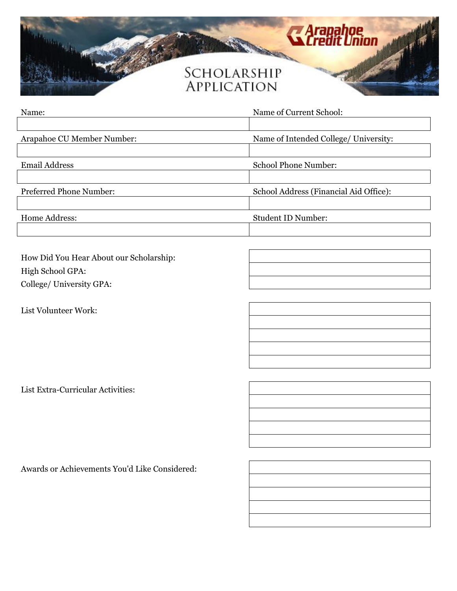

| Name:                      | Name of Current School:                |  |
|----------------------------|----------------------------------------|--|
|                            |                                        |  |
| Arapahoe CU Member Number: | Name of Intended College/ University:  |  |
|                            |                                        |  |
| <b>Email Address</b>       | <b>School Phone Number:</b>            |  |
|                            |                                        |  |
| Preferred Phone Number:    | School Address (Financial Aid Office): |  |
|                            |                                        |  |
| Home Address:              | <b>Student ID Number:</b>              |  |
|                            |                                        |  |

How Did You Hear About our Scholarship: High School GPA: College/ University GPA:

List Volunteer Work:

List Extra-Curricular Activities:

Awards or Achievements You'd Like Considered: